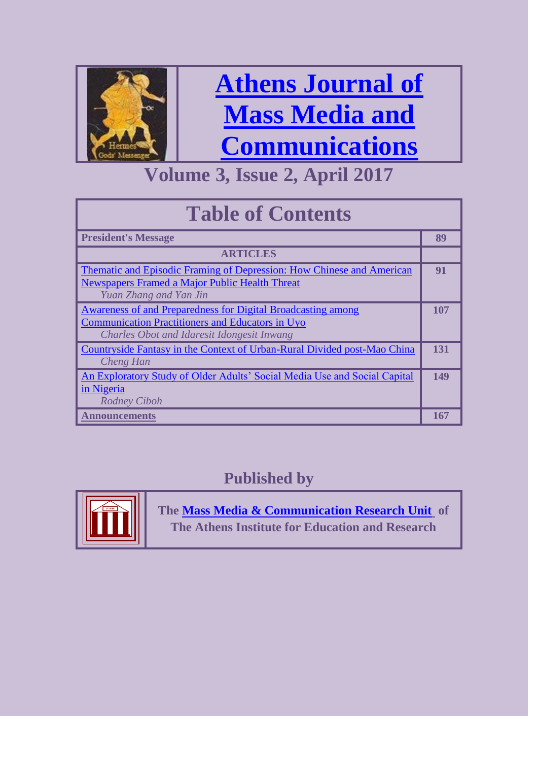

# **[Athens Journal of](http://www.athensjournals.gr/ajmmc)  [Mass Media and](http://www.athensjournals.gr/ajmmc)  [Communications](http://www.athensjournals.gr/ajmmc)**

### **Volume 3, Issue 2, April 2017**

| <b>Table of Contents</b>                                                                                                                                              |     |
|-----------------------------------------------------------------------------------------------------------------------------------------------------------------------|-----|
| <b>President's Message</b>                                                                                                                                            | 89  |
| <b>ARTICLES</b>                                                                                                                                                       |     |
| <b>Thematic and Episodic Framing of Depression: How Chinese and American</b><br>Newspapers Framed a Major Public Health Threat<br>Yuan Zhang and Yan Jin              | 91  |
| Awareness of and Preparedness for Digital Broadcasting among<br><b>Communication Practitioners and Educators in Uyo</b><br>Charles Obot and Idaresit Idongesit Inwang | 107 |
| Countryside Fantasy in the Context of Urban-Rural Divided post-Mao China<br>Cheng Han                                                                                 | 131 |
| An Exploratory Study of Older Adults' Social Media Use and Social Capital<br>in Nigeria<br><b>Rodney Ciboh</b>                                                        | 149 |
| <b>Announcements</b>                                                                                                                                                  | 167 |

### **Published by**



**The [Mass Media & Communication Research Unit](http://www.atiner.gr/docs/MEDIA_UNIT.htm) of The Athens Institute for Education and Research**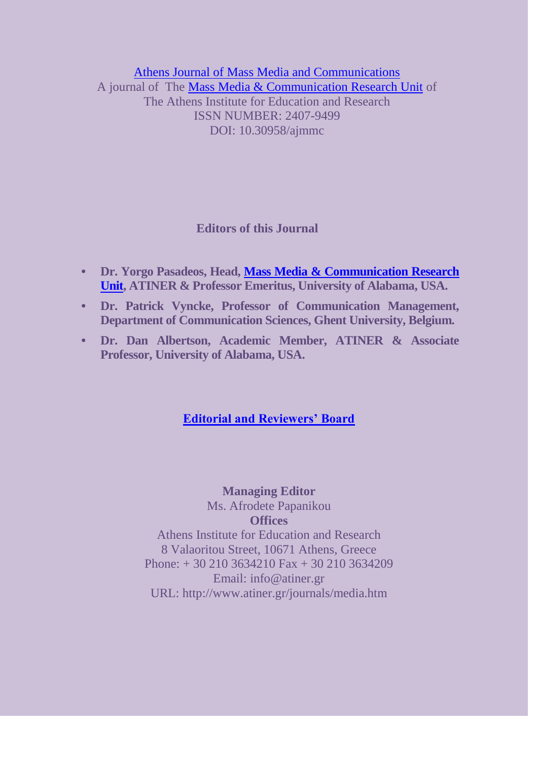[Athens Journal of Mass Media and Communications](http://www.athensjournals.gr/athens-journal-of-mass-media-and-communications) A journal of The [Mass Media & Communication Research Unit](http://www.atiner.gr/docs/MEDIA_UNIT.htm) of The Athens Institute for Education and Research ISSN NUMBER: 2407-9499 DOI: 10.30958/ajmmc

#### **Editors of this Journal**

- **• Dr. Yorgo Pasadeos, Head, [Mass Media & Communication Research](http://www.atiner.gr/docs/MEDIA_UNIT.htm)  [Unit,](http://www.atiner.gr/docs/MEDIA_UNIT.htm) ATINER & Professor Emeritus, University of Alabama, USA.**
- **• Dr. Patrick Vyncke, Professor of Communication Management, Department of Communication Sciences, Ghent University, Belgium.**
- **• Dr. Dan Albertson, Academic Member, ATINER & Associate Professor, University of Alabama, USA.**

#### **[Editorial and Reviewers' Board](http://www.athensjournals.gr/athens-journal-of-mass-media-and-communications/current-issue-of-the-mass-media-communications-journal)**

**Managing Editor** Ms. Afrodete Papanikou **Offices** Athens Institute for Education and Research 8 Valaoritou Street, 10671 Athens, Greece Phone: + 30 210 3634210 Fax + 30 210 3634209 Email: info@atiner.gr URL: http://www.atiner.gr/journals/media.htm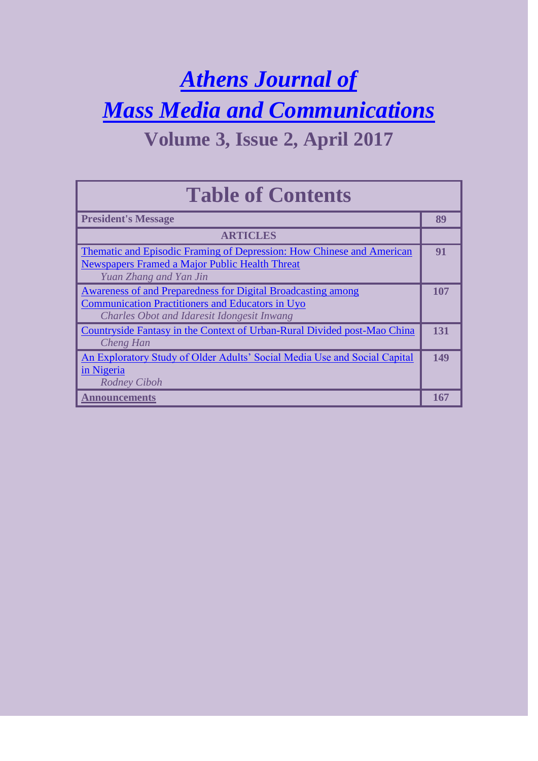## *[Athens Journal of](http://www.athensjournals.gr/ajmmc)  [Mass Media and Communications](http://www.athensjournals.gr/ajmmc)* **Volume 3, Issue 2, April 2017**

| <b>Table of Contents</b>                                                                                                                                                     |     |
|------------------------------------------------------------------------------------------------------------------------------------------------------------------------------|-----|
| <b>President's Message</b>                                                                                                                                                   | 89  |
| <b>ARTICLES</b>                                                                                                                                                              |     |
| <b>Thematic and Episodic Framing of Depression: How Chinese and American</b><br>Newspapers Framed a Major Public Health Threat<br>Yuan Zhang and Yan Jin                     | 91  |
| Awareness of and Preparedness for Digital Broadcasting among<br><b>Communication Practitioners and Educators in Uyo</b><br><b>Charles Obot and Idaresit Idongesit Inwang</b> | 107 |
| Countryside Fantasy in the Context of Urban-Rural Divided post-Mao China<br>Cheng Han                                                                                        | 131 |
| An Exploratory Study of Older Adults' Social Media Use and Social Capital<br>in Nigeria<br><b>Rodney Ciboh</b>                                                               | 149 |
| Announcements                                                                                                                                                                | 167 |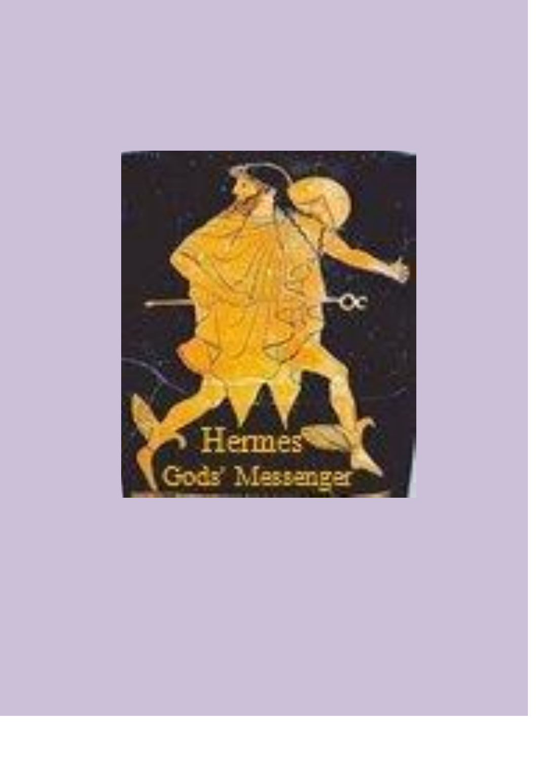